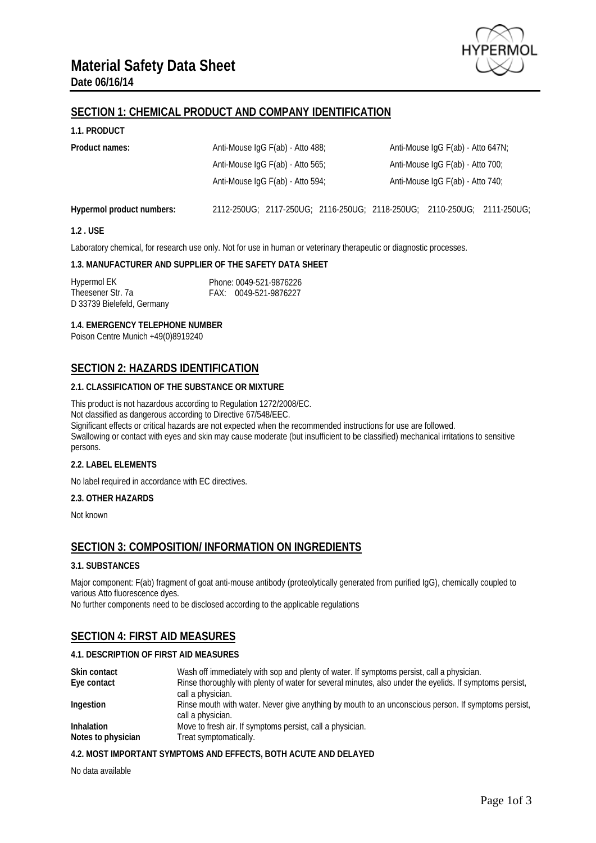

# **SECTION 1: CHEMICAL PRODUCT AND COMPANY IDENTIFICATION**

### **1.1. PRODUCT**

| Product names:            | Anti-Mouse IgG F(ab) - Atto 488;                                        |  | Anti-Mouse IgG F(ab) - Atto 647N; |  |  |  |
|---------------------------|-------------------------------------------------------------------------|--|-----------------------------------|--|--|--|
|                           | Anti-Mouse IgG F(ab) - Atto 565;                                        |  | Anti-Mouse IgG F(ab) - Atto 700;  |  |  |  |
|                           | Anti-Mouse IgG F(ab) - Atto 594;                                        |  | Anti-Mouse IgG F(ab) - Atto 740;  |  |  |  |
| Hypermol product numbers: | 2112-250UG; 2117-250UG; 2116-250UG; 2118-250UG; 2110-250UG; 2111-250UG; |  |                                   |  |  |  |

### **1.2 . USE**

Laboratory chemical, for research use only. Not for use in human or veterinary therapeutic or diagnostic processes.

### **1.3. MANUFACTURER AND SUPPLIER OF THE SAFETY DATA SHEET**

Hypermol EK Theesener Str. 7a D 33739 Bielefeld, Germany Phone: 0049-521-9876226 FAX: 0049-521-9876227

**1.4. EMERGENCY TELEPHONE NUMBER**

Poison Centre Munich +49(0)8919240

# **SECTION 2: HAZARDS IDENTIFICATION**

### **2.1. CLASSIFICATION OF THE SUBSTANCE OR MIXTURE**

This product is not hazardous according to Regulation 1272/2008/EC. Not classified as dangerous according to Directive 67/548/EEC. Significant effects or critical hazards are not expected when the recommended instructions for use are followed. Swallowing or contact with eyes and skin may cause moderate (but insufficient to be classified) mechanical irritations to sensitive

# persons.

### **2.2. LABEL ELEMENTS**

No label required in accordance with EC directives.

### **2.3. OTHER HAZARDS**

Not known

# **SECTION 3: COMPOSITION/ INFORMATION ON INGREDIENTS**

### **3.1. SUBSTANCES**

Major component: F(ab) fragment of goat anti-mouse antibody (proteolytically generated from purified IgG), chemically coupled to various Atto fluorescence dyes.

No further components need to be disclosed according to the applicable regulations

# **SECTION 4: FIRST AID MEASURES**

### **4.1. DESCRIPTION OF FIRST AID MEASURES**

| <b>Skin contact</b> | Wash off immediately with sop and plenty of water. If symptoms persist, call a physician.               |
|---------------------|---------------------------------------------------------------------------------------------------------|
| Eye contact         | Rinse thoroughly with plenty of water for several minutes, also under the eyelids. If symptoms persist, |
|                     | call a physician.                                                                                       |
| Ingestion           | Rinse mouth with water. Never give anything by mouth to an unconscious person. If symptoms persist,     |
|                     | call a physician.                                                                                       |
| <b>Inhalation</b>   | Move to fresh air. If symptoms persist, call a physician.                                               |
| Notes to physician  | Treat symptomatically.                                                                                  |

### **4.2. MOST IMPORTANT SYMPTOMS AND EFFECTS, BOTH ACUTE AND DELAYED**

No data available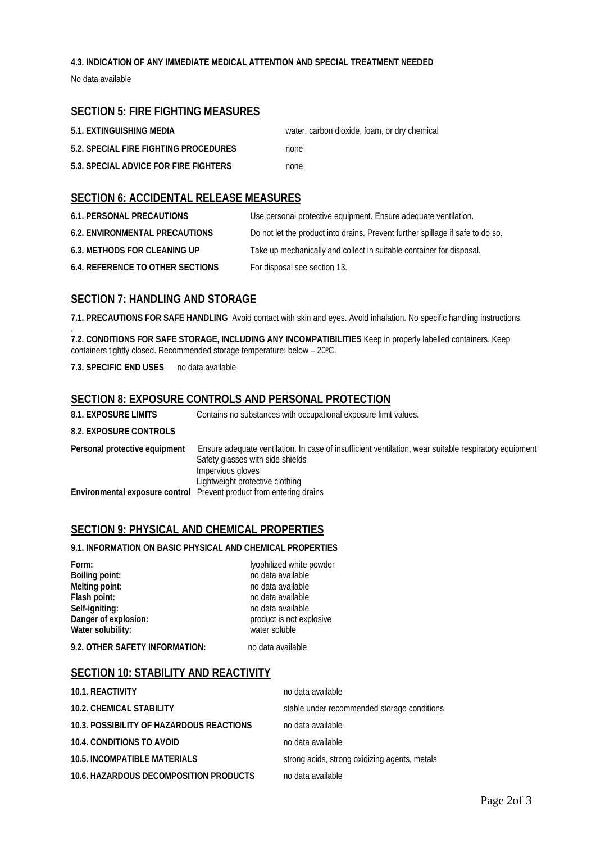### **4.3. INDICATION OF ANY IMMEDIATE MEDICAL ATTENTION AND SPECIAL TREATMENT NEEDED**

No data available

# **SECTION 5: FIRE FIGHTING MEASURES**

| 5.1. EXTINGUISHING MEDIA              | water, carbon dioxide, foam, or dry chemical |
|---------------------------------------|----------------------------------------------|
| 5.2. SPECIAL FIRE FIGHTING PROCEDURES | none                                         |
| 5.3. SPECIAL ADVICE FOR FIRE FIGHTERS | none                                         |

# **SECTION 6: ACCIDENTAL RELEASE MEASURES**

| <b>6.1. PERSONAL PRECAUTIONS</b>        | Use personal protective equipment. Ensure adequate ventilation.                |
|-----------------------------------------|--------------------------------------------------------------------------------|
| <b>6.2. ENVIRONMENTAL PRECAUTIONS</b>   | Do not let the product into drains. Prevent further spillage if safe to do so. |
| <b>6.3. METHODS FOR CLEANING UP</b>     | Take up mechanically and collect in suitable container for disposal.           |
| <b>6.4. REFERENCE TO OTHER SECTIONS</b> | For disposal see section 13.                                                   |

### **SECTION 7: HANDLING AND STORAGE**

**7.1. PRECAUTIONS FOR SAFE HANDLING** Avoid contact with skin and eyes. Avoid inhalation. No specific handling instructions.

. **7.2. CONDITIONS FOR SAFE STORAGE, INCLUDING ANY INCOMPATIBILITIES** Keep in properly labelled containers. Keep containers tightly closed. Recommended storage temperature: below - 20°C.

**7.3. SPECIFIC END USES** no data available

### **SECTION 8: EXPOSURE CONTROLS AND PERSONAL PROTECTION**

| <b>8.1. EXPOSURE LIMITS</b>   | Contains no substances with occupational exposure limit values.                                                                                                                                   |
|-------------------------------|---------------------------------------------------------------------------------------------------------------------------------------------------------------------------------------------------|
| 8.2. EXPOSURE CONTROLS        |                                                                                                                                                                                                   |
| Personal protective equipment | Ensure adequate ventilation. In case of insufficient ventilation, wear suitable respiratory equipment<br>Safety glasses with side shields<br>Impervious gloves<br>Lightweight protective clothing |
|                               | Environmental exposure control Prevent product from entering drains                                                                                                                               |

### **SECTION 9: PHYSICAL AND CHEMICAL PROPERTIES**

### **9.1. INFORMATION ON BASIC PHYSICAL AND CHEMICAL PROPERTIES**

**Form:** lyophilized white powder<br> **Boiling point:** <br> **Boiling point:** <br> **Boiling point:** <br> **Boiling point:** <br> **Boiling point:** <br> **Boiling point:** <br> **Boiling point:** <br> **Boiling point:** <br> **Boiling point:** <br> **Boiling point: Boiling point:** no data available<br> **Melting point:** no data available<br>
no data available **Melting point:** no data available<br> **Flash point:** no data available<br>
no data available **Flash point:** no data available<br> **Self-igniting:** no data available<br>
no data available **Self-igniting:** no data available<br> **Danger of explosion:** product is not exp **Water solubility:** 

product is not explosive<br>water soluble **9.2. OTHER SAFETY INFORMATION:** no data available

# **SECTION 10: STABILITY AND REACTIVITY**

| <b>10.1. REACTIVITY</b>                  | no data available                             |
|------------------------------------------|-----------------------------------------------|
| <b>10.2. CHEMICAL STABILITY</b>          | stable under recommended storage conditions   |
| 10.3. POSSIBILITY OF HAZARDOUS REACTIONS | no data available                             |
| 10.4. CONDITIONS TO AVOID                | no data available                             |
| <b>10.5. INCOMPATIBLE MATERIALS</b>      | strong acids, strong oxidizing agents, metals |
| 10.6. HAZARDOUS DECOMPOSITION PRODUCTS   | no data available                             |